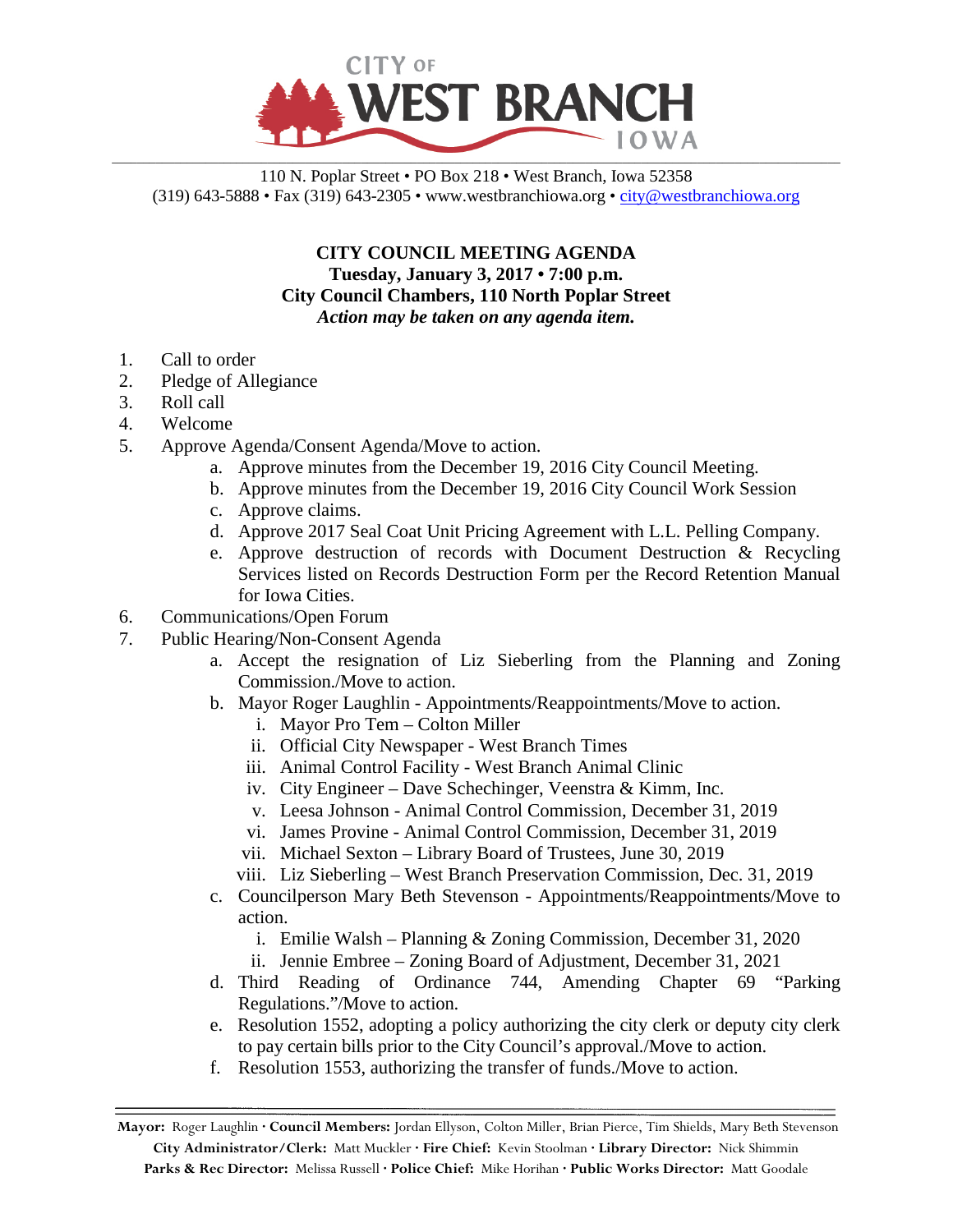

110 N. Poplar Street • PO Box 218 • West Branch, Iowa 52358 (319) 643-5888 • Fax (319) 643-2305 • www.westbranchiowa.org •  $\text{city@westbranchiowa.org}$ 

> **CITY COUNCIL MEETING AGENDA Tuesday, January 3, 2017 • 7:00 p.m. City Council Chambers, 110 North Poplar Street** *Action may be taken on any agenda item.*

- 1. Call to order
- 2. Pledge of Allegiance
- 3. Roll call
- 4. Welcome
- 5. Approve Agenda/Consent Agenda/Move to action.
	- a. Approve minutes from the December 19, 2016 City Council Meeting.
	- b. Approve minutes from the December 19, 2016 City Council Work Session
	- c. Approve claims.
	- d. Approve 2017 Seal Coat Unit Pricing Agreement with L.L. Pelling Company.
	- e. Approve destruction of records with Document Destruction & Recycling Services listed on Records Destruction Form per the Record Retention Manual for Iowa Cities.
- 6. Communications/Open Forum
- 7. Public Hearing/Non-Consent Agenda
	- a. Accept the resignation of Liz Sieberling from the Planning and Zoning Commission./Move to action.
	- b. Mayor Roger Laughlin Appointments/Reappointments/Move to action.
		- i. Mayor Pro Tem Colton Miller
		- ii. Official City Newspaper West Branch Times
		- iii. Animal Control Facility West Branch Animal Clinic
		- iv. City Engineer Dave Schechinger, Veenstra & Kimm, Inc.
		- v. Leesa Johnson Animal Control Commission, December 31, 2019
		- vi. James Provine Animal Control Commission, December 31, 2019
		- vii. Michael Sexton Library Board of Trustees, June 30, 2019
		- viii. Liz Sieberling West Branch Preservation Commission, Dec. 31, 2019
	- c. Councilperson Mary Beth Stevenson Appointments/Reappointments/Move to action.
		- i. Emilie Walsh Planning & Zoning Commission, December 31, 2020
		- ii. Jennie Embree Zoning Board of Adjustment, December 31, 2021
	- d. Third Reading of Ordinance 744, Amending Chapter 69 "Parking Regulations."/Move to action.
	- e. Resolution 1552, adopting a policy authorizing the city clerk or deputy city clerk to pay certain bills prior to the City Council's approval./Move to action.
	- f. Resolution 1553, authorizing the transfer of funds./Move to action.

**Mayor:** Roger Laughlin **· Council Members:** Jordan Ellyson, Colton Miller, Brian Pierce, Tim Shields, Mary Beth Stevenson **City Administrator/Clerk:** Matt Muckler **· Fire Chief:** Kevin Stoolman **· Library Director:** Nick Shimmin **Parks & Rec Director:** Melissa Russell **· Police Chief:** Mike Horihan **· Public Works Director:** Matt Goodale